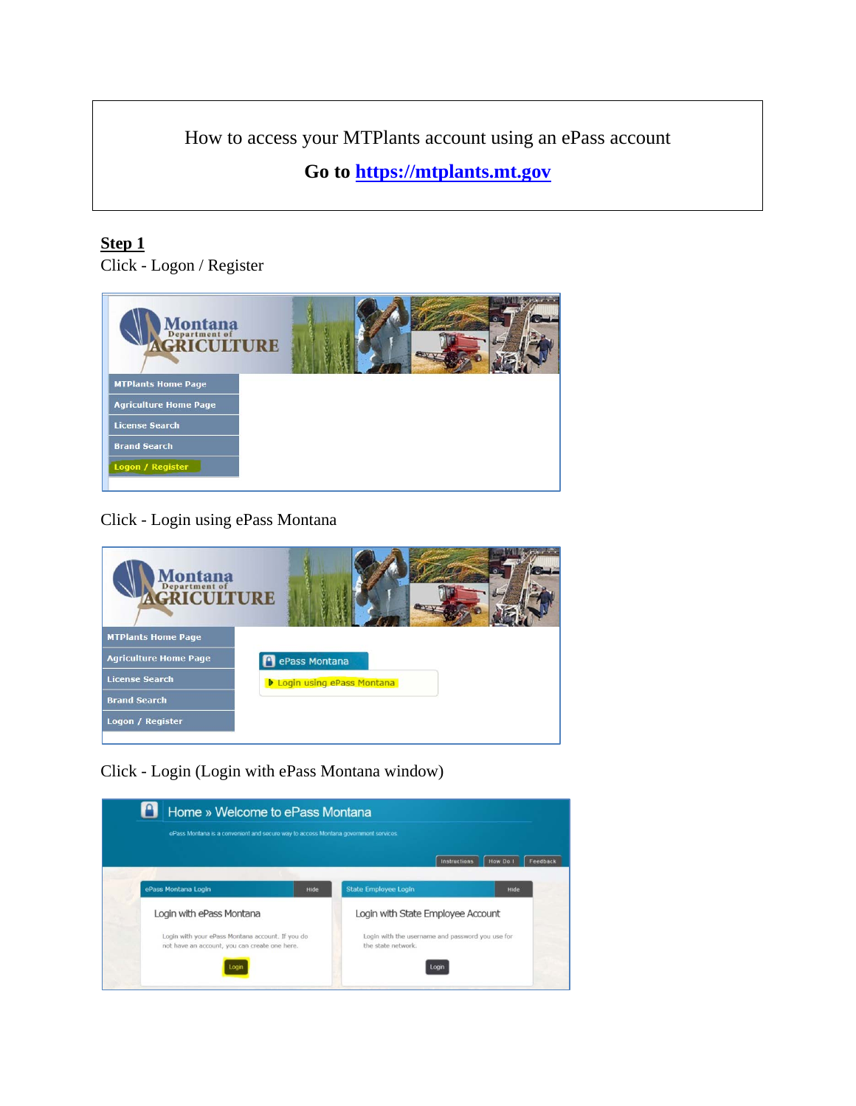How to access your MTPlants account using an ePass account

**Go to [https://mtplants.mt.gov](https://mtplants.mt.gov/)**

## **Step 1**

Click - Logon / Register



Click - Login using ePass Montana

| Montana<br><b>AGRICULTURE</b> |                                    |  |
|-------------------------------|------------------------------------|--|
| <b>MTPlants Home Page</b>     |                                    |  |
| <b>Agriculture Home Page</b>  | ePass Montana                      |  |
| <b>License Search</b>         | <b>D</b> Login using ePass Montana |  |
| <b>Brand Search</b>           |                                    |  |
| Logon / Register              |                                    |  |
|                               |                                    |  |

Click - Login (Login with ePass Montana window)

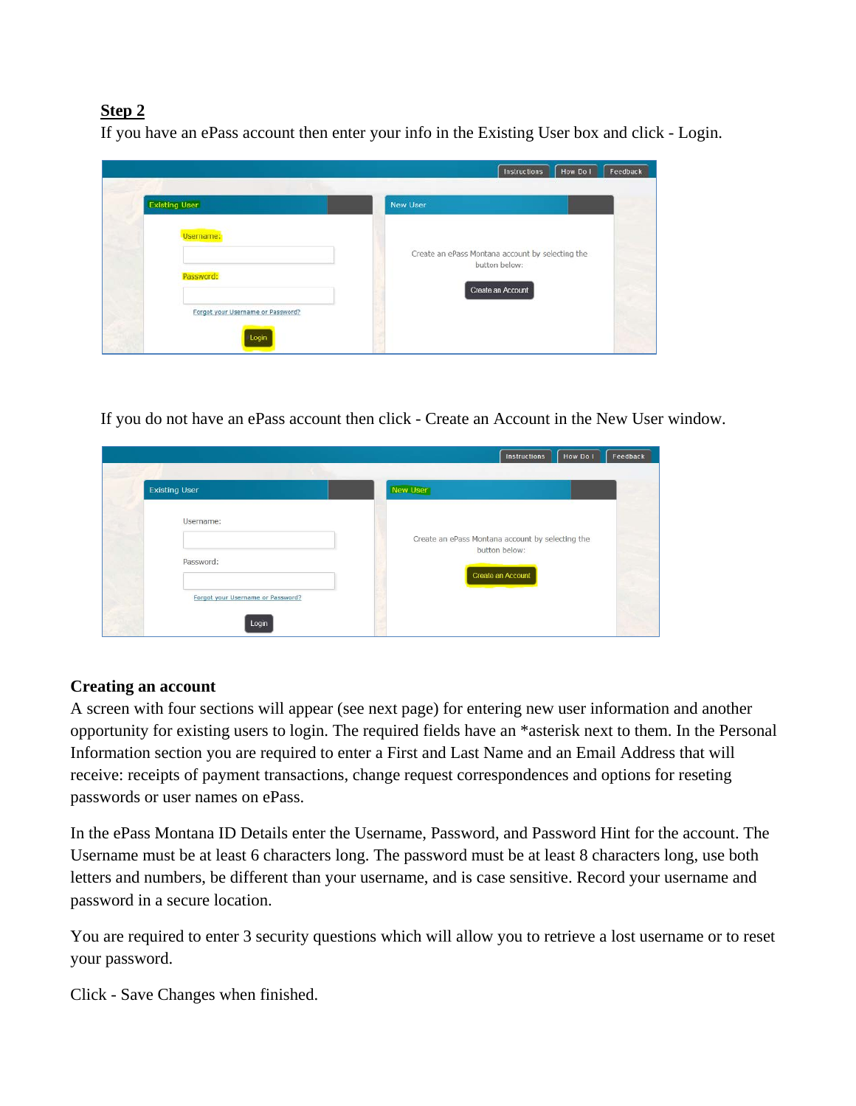## **Step 2**

If you have an ePass account then enter your info in the Existing User box and click - Login.

| <b>Existing User</b>              | <b>New User</b>                                  |
|-----------------------------------|--------------------------------------------------|
| Username:                         | Create an ePass Montana account by selecting the |
| Password:                         | button below:<br>Create an Account               |
| Forgot your Username or Password? |                                                  |

If you do not have an ePass account then click - Create an Account in the New User window.

| <b>Existing User</b>              | New User                                         |  |
|-----------------------------------|--------------------------------------------------|--|
| Username:                         | Create an ePass Montana account by selecting the |  |
| Password:                         | button below:<br>Create an Account               |  |
| Forgot your Username or Password? |                                                  |  |

## **Creating an account**

A screen with four sections will appear (see next page) for entering new user information and another opportunity for existing users to login. The required fields have an \*asterisk next to them. In the Personal Information section you are required to enter a First and Last Name and an Email Address that will receive: receipts of payment transactions, change request correspondences and options for reseting passwords or user names on ePass.

In the ePass Montana ID Details enter the Username, Password, and Password Hint for the account. The Username must be at least 6 characters long. The password must be at least 8 characters long, use both letters and numbers, be different than your username, and is case sensitive. Record your username and password in a secure location.

You are required to enter 3 security questions which will allow you to retrieve a lost username or to reset your password.

Click - Save Changes when finished.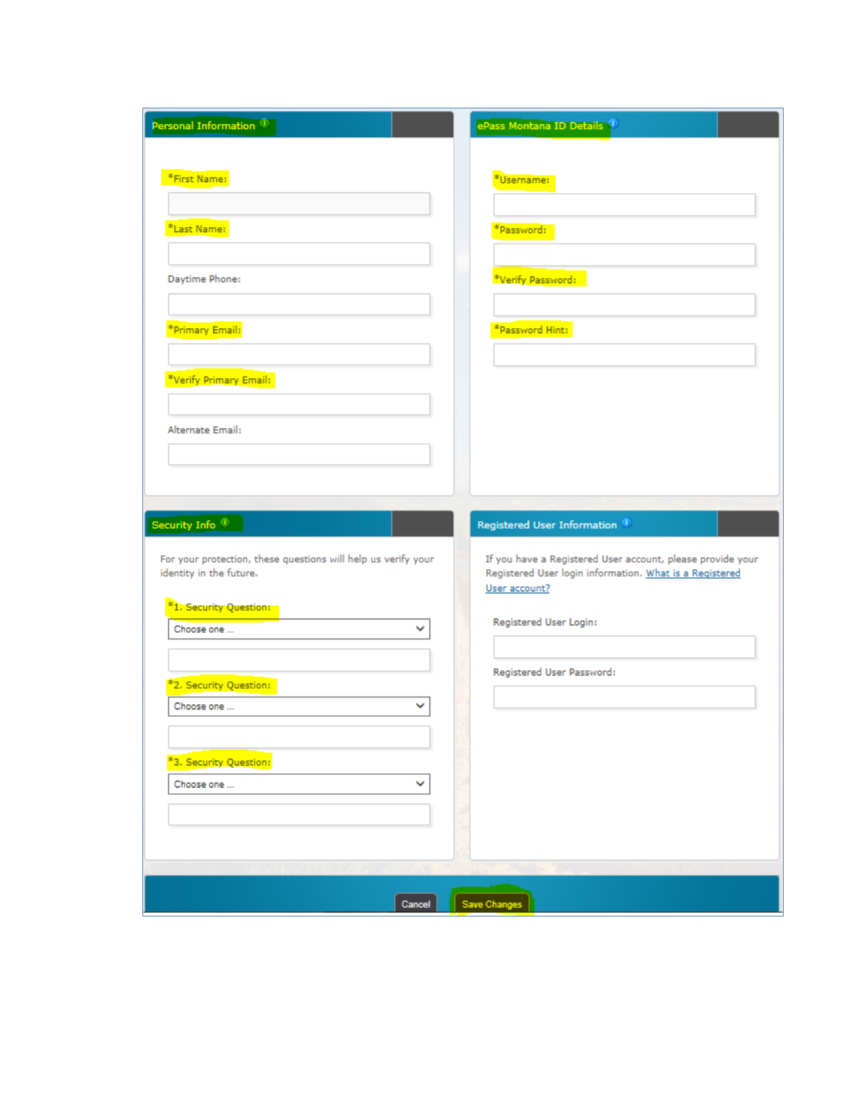| Personal Information <sup>(1)</sup>                           | ePass Montana ID Details                                                 |
|---------------------------------------------------------------|--------------------------------------------------------------------------|
|                                                               |                                                                          |
| *First Name:                                                  | *Username:                                                               |
| *Last Name:                                                   | *Password:                                                               |
|                                                               |                                                                          |
| Daytime Phone:                                                | *Verify Password:                                                        |
|                                                               |                                                                          |
| *Primary Email:                                               | *Password Hint:                                                          |
|                                                               |                                                                          |
| *Verify Primary Email:                                        |                                                                          |
| Alternate Email:                                              |                                                                          |
|                                                               |                                                                          |
|                                                               |                                                                          |
| Security Info <sub>0</sub>                                    | Registered User Information <sup>0</sup>                                 |
| For your protection, these questions will help us verify your | If you have a Registered User account, please provide your               |
| identity in the future.                                       | Registered User login information. What is a Registered<br>User account? |
| *1. Security Question:                                        |                                                                          |
| Choose one<br>v                                               | Registered User Login:                                                   |
|                                                               | Registered User Password:                                                |
| *2. Security Question:<br>Choose one<br>v                     |                                                                          |
|                                                               |                                                                          |
| *3. Security Question:                                        |                                                                          |
| v<br>Choose one                                               |                                                                          |
|                                                               |                                                                          |
|                                                               |                                                                          |
|                                                               |                                                                          |
|                                                               |                                                                          |